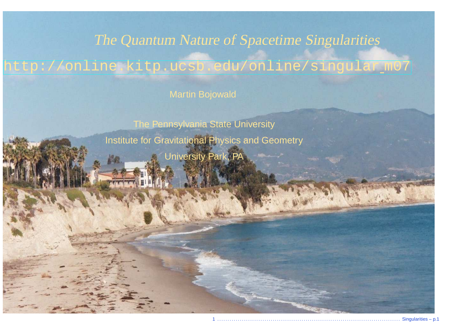### The Quantum Nature of Spacetime Singularities

# [http://online.kitp.ucsb.edu/online/singular](http://online.kitp.ucsb.edu/online/singular_m07/) m07

Martin Bojowald

The Pennsylvania State UniversityInstitute for Gravitational Physics and GeometryUniversity Park, PA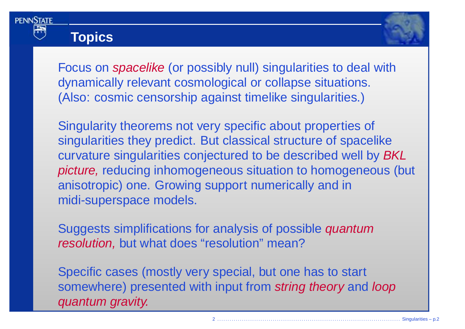

## **Topics**



Focus on *spacelike* (or possibly null) singularities to deal with dynamically relevant cosmological or collapse situations. (Also: cosmic censorship against timelike singularities.)

Singularity theorems not very specific about properties of singularities they predict. But classical structure of spacelikecurvature singularities conjectured to be described well by  $BKL$  picture, reducing inhomogeneous situation to homogeneous (but anisotropic) one. Growing support numerically and inmidi-superspace models.

Suggests simplifications for analysis of possible *quantum* resolution, but what does "resolution" mean?

Specific cases (mostly very special, but one has to start somewhere) presented with input from s*tring theory* and *loop*<br>quantum aravity quantum gravity.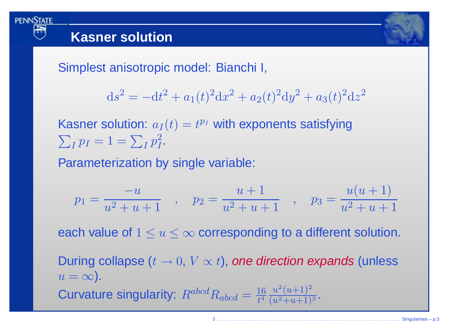

**PENNSTATE** 

Simplest anisotropic model: Bianchi I,

$$
ds^{2} = -dt^{2} + a_{1}(t)^{2}dx^{2} + a_{2}(t)^{2}dy^{2} + a_{3}(t)^{2}dz^{2}
$$

Kasner solution:  $a_I(t)=t^{p_I}$  with exponents satisfying  $\sum_{I} p_I = 1 = \sum_{I} p_I^2.$ 

Parameterization by single variable:

$$
p_1 = \frac{-u}{u^2 + u + 1} \quad , \quad p_2 = \frac{u+1}{u^2 + u + 1} \quad , \quad p_3 = \frac{u(u+1)}{u^2 + u + 1}
$$

each value of  $1\leq u\leq \infty$  corresponding to a different solution.

During collapse ( $t\rightarrow 0,~V\propto t)$ , *one direction expands* (unless<br> $u=\infty$ )  $u = \infty$ ). Curvature singularity:  $R^{abcd}R_{abcd} = \frac{16}{t^4} \frac{u^2(u+1)^2}{(u^2+u+1)^3}$ .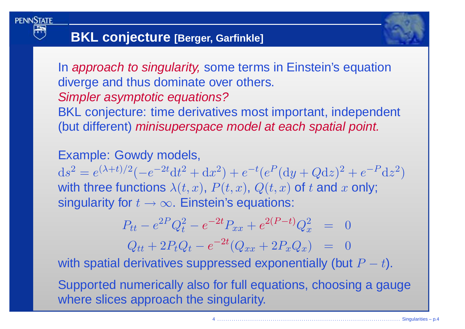

# **BKL conjecture [Berger, Garfinkle]**

In *approach to singularity,* some terms in Einstein's equation diverge and thus dominate over others. Simpler asymptotic equations? BKL conjecture: time derivatives most important, independent (but different) *minisuperspace model at each spatial point.* 

Example: Gowdy models,  $\mathrm{d}s^2 =$  $e^{(\lambda+t)/2}(-e^{-2t}dt^2+dx^2)+e^{-t}(e^P(dy+Qdz)^2+e^{-P}dz^2)$ with three functions  $\lambda(t,x),\,P(t,x),\,Q(t,x)$  of  $t$  and  $x$  only; singularity for  $t\to\infty.$  Einstein's equations:

$$
P_{tt} - e^{2P}Q_t^2 - e^{-2t}P_{xx} + e^{2(P-t)}Q_x^2 = 0
$$

$$
Q_{tt} + 2P_tQ_t - e^{-2t}(Q_{xx} + 2P_xQ_x) = 0
$$

with spatial derivatives suppressed exponentially (but  $P$  $P-t$ ).

Supported numerically also for full equations, choosing <sup>a</sup> gaugewhere slices approach the singularity.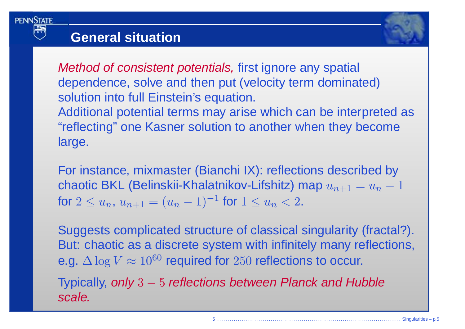

### **General situation**



For instance, mixmaster (Bianchi IX): reflections described bychaotic BKL (Belinskii-Khalatnikov-Lifshitz) map  $u_{n+1} = u_n - 1$ for  $2 \leq u_n$ ,  $u_{n+1} = (u_n - 1)^{-1}$  for  $1 \leq u_n < 2$ .

Suggests complicated structure of classical singularity (fractal?). But: chaotic as <sup>a</sup> discrete system with infinitely many reflections, e.g.  $\Delta \log V \approx 10^{60}$  required for  $250$  reflections to occur.

Typically, only 3 – 5 reflections between Planck and Hubble<br>easle scale.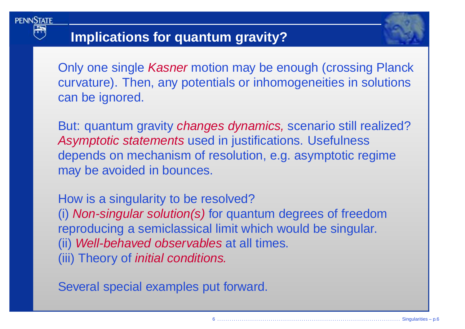

## **Implications for quantum gravity?**

Only one single *Kasner* motion may be enough (crossing Planck curvature). Then, any potentials or inhomogeneities in solutionscan be ignored.

But: quantum gravity *changes dynamics,* scenario still realized? Asymptotic statements used in justifications. Usefulness depends on mechanism of resolution, e.g. asymptotic regimemay be avoided in bounces.

How is <sup>a</sup> singularity to be resolved? (i) Non-singular solution(s) for quantum degrees of freedomreproducing <sup>a</sup> semiclassical limit which would be singular. (ii) Well-behaved observables at all times. (iii) Theory of initial conditions.

Several special examples put forward.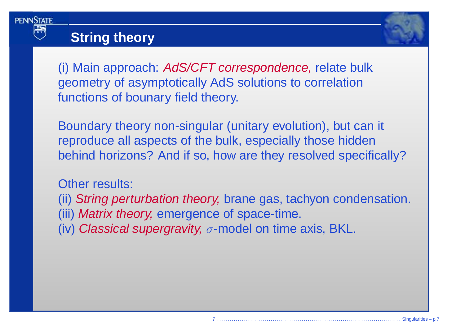

### **String theory**



(i) Main approach: AdS/CFT correspondence, relate bulkgeometry of asymptotically AdS solutions to correlationfunctions of bounary field theory.

Boundary theory non-singular (unitary evolution), but can it reproduce all aspects of the bulk, especially those hiddenbehind horizons? And if so, how are they resolved specifically?

Other results:

(ii) *String perturbation theory,* brane gas, tachyon condensation. (iii) *Matrix theory,* emergence of space-time.

(iv) *Classical supergravity,*  $\sigma$ *-*model on time axis, BKL.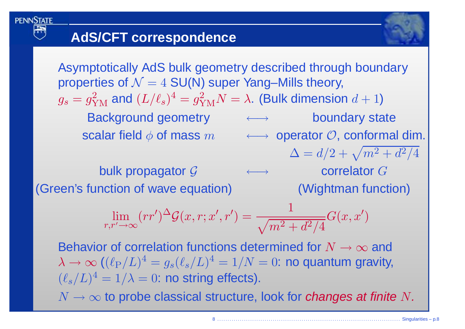**PENNSTATE** 

Asymptotically AdS bulk geometry described through boundaryproperties of  $\mathcal{N}=4$  SU(N) super Yang–Mills theory,  $g_s=g$ 2 YM $_{\rm M}$  and  $(L/\ell_s)^4$  $\mathbf{f} = g$ Background geometry +→→ 2 ${}^{2}_{\text{YM}}N=$  $\lambda$ . (Bulk dimension  $d+1$ ) boundary state  $\textsf{scalar} \; \textsf{field} \; \phi \; \textsf{of} \; \textsf{mass} \; m \quad \quad \longleftrightarrow \; \textsf{operator} \; \mathcal{O}, \; \textsf{conformal} \; \textsf{dim}.$  $\Delta = d/2 + \sqrt{m^2}$  $\rightarrow$  correlator  $G$  $^2+d^2$  $^{2}/4$ bulk propagator G  $\longleftrightarrow$ (Wightman function) (Green's function of wave equation) lim $r,r'$  :  $'\rightarrow \infty$  $\bigl( rr$ ′ )  $\Delta$  ${}^{\Delta} \mathcal{G}$  $(x,r;x$  $\prime\prime, r^{\prime}) =$ 1 $\sqrt{m^2}$ Behavior of correlation functions determined for  $N \to \infty$  and<br> $\lambda \to \infty$  (( $\ell_{\rm E}/L$ )<sup>4</sup> = a ( $\ell$  /  $L$ )<sup>4</sup> = 1 / $N = 0$ ; no quantum gravity  $^2+d^2$  $^{2}/4$  $G\,$  $(x,x$ ′ )  $\lambda \rightarrow \infty$   $((\ell_{\rm P}/L)^4 = g_s(\ell_s/L)^4 = 1/N = 0$ : no qu $(\ell_{\rm P}/L)^4 = 1/\lambda_s$  $(\ell_s/L)^4 = 1/\lambda = 0$ : no string effects).  $^4=g_s(\ell_s/L)^4=1/N=0$ : no quantum gravity,

 $N \to \infty$  to probe classical structure, look for changes at finite  $N$ .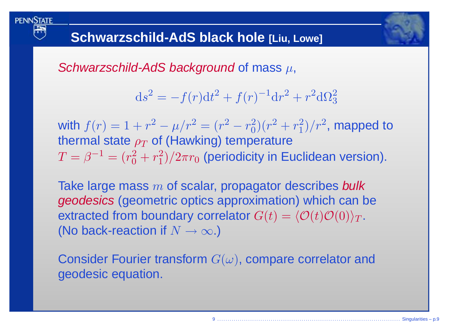

Schwarzschild-AdS background of mass  $\mu,$ 

$$
ds^{2} = -f(r)dt^{2} + f(r)^{-1}dr^{2} + r^{2}d\Omega_{3}^{2}
$$

with  $f(r) = 1 + r$ thermal state  $\rho_T$  of (Hawking) temperature 2 − $-\mu/r^2 = (r)$ 2 $r$ 2 $_0^2)(r$ 2 $^2+r$ 2 $\binom{2}{1}/r^2$ , mapped to  $T=\beta^{-1}=(r_0^2$  $\tau$  of (Hawking) temperature 2 $\frac{2}{0}+r$ 2 $_{1}^{2})/2\pi r_{0}$  $_{\rm 0}$  (periodicity in Euclidean version).

Take large mass  $m$  of scalar, propagator describes bulk<br>coodesies (geometric entics approximation) which can b geodesics (geometric optics approximation) which can beextracted from boundary correlator  $G(t) = \langle \mathcal{O}(t) \mathcal{O}(0) \rangle_T$ . (No back-reaction if  $N\rightarrow\infty$ .)

Consider Fourier transform  $G(\omega)$ , compare correlator and geodesic equation.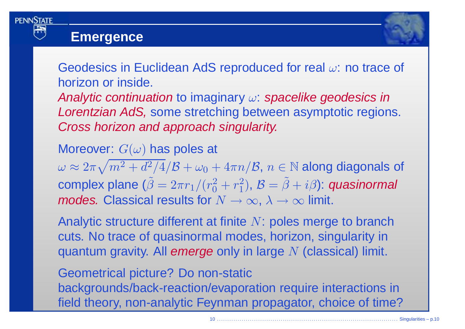

**PENNSTATE** 



Geodesics in Euclidean AdS reproduced for real  $\omega$ : no trace of horizon or inside.

Analytic continuation to imaginary  $\omega$ : spacelike geodesics in Lorentzian AdS, some stretching between asymptotic regions. Cross horizon and approach singularity.

Moreover:  $G(\omega)$  has poles at

 $\omega \approx 2\pi\sqrt{m^2+d^2/4}/\mathcal{B} + \omega_0 + 4\pi n/\mathcal{B},\, n \in \mathbb{N}$  along diagonals of complex plane  $(\tilde{\beta}=2\pi r_1/(r_0^2+r_1^2),\,{\cal B}=\tilde{\beta}+i\beta)$ : quasinormal *modes.* Classical results for  $N \to \infty$ ,  $\lambda \to \infty$  limit.

Analytic structure different at finite  $N$ : poles merge to branch cuts. No trace of quasinormal modes, horizon, singularity inquantum gravity. All emerge only in large  $N$  (classical) limit.

Geometrical picture? Do non-static backgrounds/back-reaction/evaporation require interactions infield theory, non-analytic Feynman propagator, choice of time?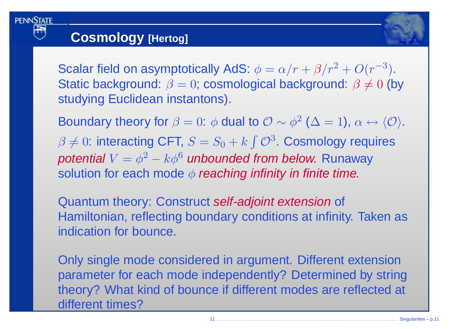## **Cosmology [Hertog]**

**PENNSTATE** 

Scalar field on asymptotically AdS:  $\phi = \alpha/r + \beta/r^2 + O(r^{-3})$ .<br>Statio hackground:  $\beta$  and assemblatical hackground:  $\beta$  / 0 (h Static background:  $\beta=0$ ; cosmological background:  $\beta\neq 0$  (by studying Euclidean instantons).

Boundary theory for  $\beta=0$ :  $\phi$  dual to  ${\cal O}\sim \phi^2$  ( $\Delta=1$ ),  $\alpha\leftrightarrow \langle{\cal O}\rangle.$  $\beta \neq 0$ : interacting CFT,  $S = S_0 + k \int \mathcal{O}^3$ . Cosmology requires potential  $V = \phi^2 - k \phi^6$  unbounded from below. Runaway solution for each mode  $\phi$  *reaching infinity in finite time.* 

Quantum theory: Construct self-adjoint extension of Hamiltonian, reflecting boundary conditions at infinity. Taken asindication for bounce.

Only single mode considered in argument. Different extension parameter for each mode independently? Determined by string theory? What kind of bounce if different modes are reflected at different times?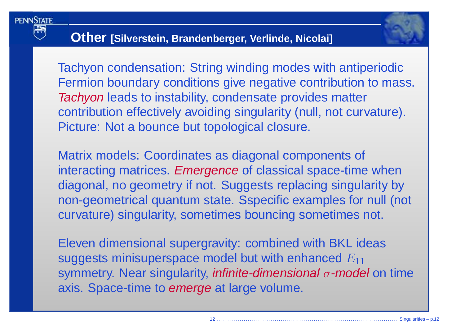

## **Other [Silverstein, Brandenberger, Verlinde, Nicolai]**

Tachyon condensation: String winding modes with antiperiodicFermion boundary conditions give negative contribution to mass. Tachyon leads to instability, condensate provides matter contribution effectively avoiding singularity (null, not curvature). Picture: Not <sup>a</sup> bounce but topological closure.

Matrix models: Coordinates as diagonal components of interacting matrices. *Emergence* of classical space-time when diagonal, no geometry if not. Suggests replacing singularity by non-geometrical quantum state. Sspecific examples for null (not curvature) singularity, sometimes bouncing sometimes not.

Eleven dimensional supergravity: combined with BKL ideassuggests minisuperspace model but with enhanced  $E_{11}$ symmetry. Near singularity, *infinite-dimensional*  $\sigma$ -model on time axis. Space-time to *emerge* at large volume.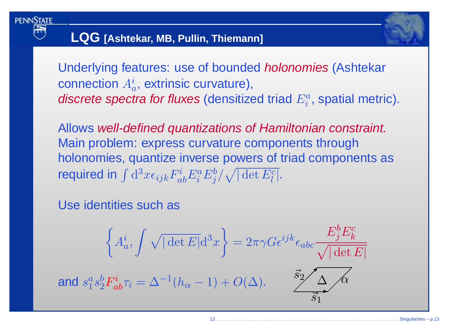

# **LQG [Ashtekar, MB, Pullin, Thiemann]**

Underlying features: use of bounded *holonomies* (Ashtekar connection  $A_a^i$ , extrinsic curvature), *discrete spectra for fluxes* (densitized triad  $E^a_i$ , spatial metric).

Allows well-defined quantizations of Hamiltonian constraint. Main problem: express curvature components through holonomies, quantize inverse powers of triad components asrequired in  $\int {\rm d}^3x \epsilon_{ijk}F^i_{ab}E^a_i E^b_j/\sqrt{|\det E^c_l |}.$ 

#### Use identities such as

$$
\left\{ A_a^i, \int \sqrt{|\det E|} d^3 x \right\} = 2\pi \gamma G \epsilon^{ijk} \epsilon_{abc} \frac{E_j^b E_k^c}{\sqrt{|\det E|}}
$$
  
and  $s_1^a s_2^b F_{ab}^i \tau_i = \Delta^{-1} (h_\alpha - 1) + O(\Delta)$ .  
 $\frac{\vec{s}_2}{\vec{s}_1} \Delta \Delta \hat{\phi}$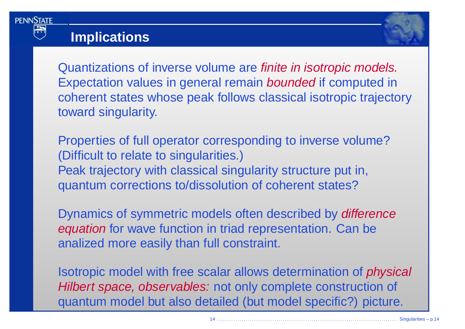

### **Implications**



Quantizations of inverse volume are *finite in isotropic models.* Expectation values in general remain *bounded* if computed in coherent states whose peak follows classical isotropic trajectorytoward singularity.

Properties of full operator corresponding to inverse volume?(Difficult to relate to singularities.)Peak trajectory with classical singularity structure put in, quantum corrections to/dissolution of coherent states?

Dynamics of symmetric models often described by *difference* equation for wave function in triad representation. Can be analized more easily than full constraint.

Isotropic model with free scalar allows determination of physical Hilbert space, observables: not only complete construction of quantum model but also detailed (but model specific?) picture.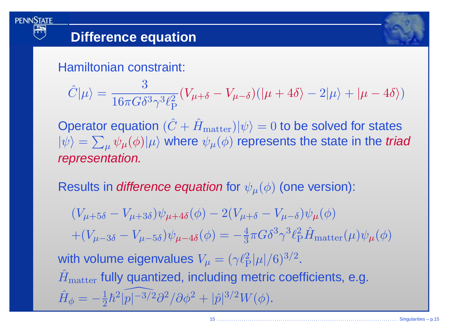

### **Difference equation**

Hamiltonian constraint:

$$
\hat{C}|\mu\rangle = \frac{3}{16\pi G \delta^3 \gamma^3 \ell_{\rm P}^2} (V_{\mu+\delta} - V_{\mu-\delta})(|\mu+4\delta\rangle - 2|\mu\rangle + |\mu-4\delta\rangle)
$$

Operator equation  $(\hat{C})$  $|\psi\rangle=\sum_{\mu}\psi_{\mu}(\phi)|\mu\rangle$  where  $\psi_{\mu}(\phi)$  represents the state in the *tri*  $+\hat{H}_{\text{matter}}|\psi\rangle = 0$  to be solved for states  $P=\sum_{\mu}\psi_{\mu}(\phi)|\mu\rangle$  where  $\psi_{\mu}(\phi)$  represents the state in the *triad* representation.

Results in *difference equation* for  $\psi_\mu(\phi)$  (one version):

 $(V_{\mu+5\delta}-V_{\mu+3\delta})\psi_{\mu+4\delta}(\phi)-2(V_{\mu+\delta}-V_{\mu-\delta})\psi_{\mu}(\phi)$  $+(V_{\mu-3\delta}-V_{\mu-5\delta})\psi_{\mu-4\delta}(\phi)=-\frac{4}{3}\pi G\delta^{3}\gamma^{3}\ell_{\rm P}^{2}\hat{H}_{\rm matter}(\mu)\psi_{\mu}(\phi)$ with volume eigenvalues  $V_{\mu}=(\gamma \ell_{\rm P}^2 |\mu|/6)^{3/2}.$  $\hat{H}$  $\hat{H}$  $_{\rm matter}$  fully quantized, including metric coefficients, e.g.  $\delta_{\phi} = -\frac{1}{2}\hbar^2|\widehat{p|^{-3/2}}$  $p|^{-3/2}\partial^2/\partial\phi^2 + |\hat{p}|^{3/2}W(\phi).$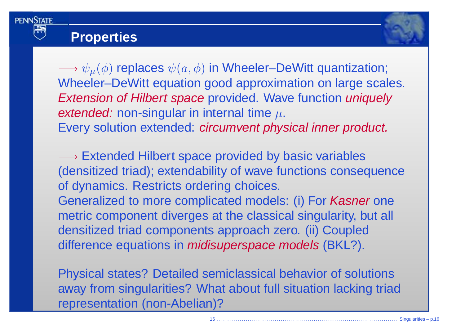

### **Properties**



 $\longrightarrow \psi_{\mu}(\phi)$  replaces  $\psi(a,\phi)$  in Wheeler–DeWitt quantization;<br>Wheeler–DeWitt equation good approximation on large scal Wheeler–DeWitt equation good approximation on large scales. Extension of Hilbert space provided. Wave function uniquely *extended:* non-singular in internal time  $\mu$ . Every solution extended: circumvent physical inner product.

—→ Extended Hilbert space provided by basic variables<br>(densitized triad): extendability of wave functions conseq (densitized triad); extendability of wave functions consequenceof dynamics. Restricts ordering choices. Generalized to more complicated models: (i) For *Kasner* one metric component diverges at the classical singularity, but all densitized triad components approach zero. (ii) Coupleddifference equations in *mi<mark>disuperspace models</mark>* (BKL?).

Physical states? Detailed semiclassical behavior of solutions away from singularities? What about full situation lacking triad representation (non-Abelian)?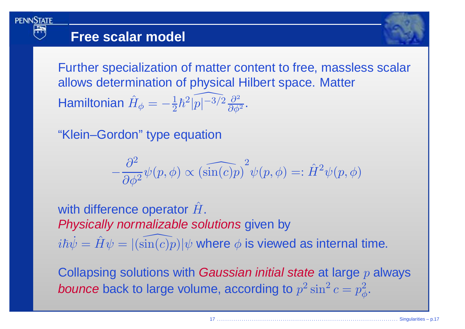

### **Free scalar model**



Further specialization of matter content to free, massless scalar allows determination of physical Hilbert space. MatterHamiltonian  $\hat{H}$  $\hat{H}_{\phi} = -\frac{1}{2}\hbar^2|\widehat{p|^{-3/2}}\frac{\partial^2}{\partial\phi^2}.$ 

"Klein–Gordon" type equation

$$
-\frac{\partial^2}{\partial \phi^2} \psi(p,\phi) \propto \left(\widehat{\sin(c)p}\right)^2 \psi(p,\phi) =: \hat{H}^2 \psi(p,\phi)
$$

with difference operator  $\hat{H}$ .Physically normalizable solutions given by  $i\hbar\dot{\psi}$  $\dot{\psi} = \hat{H}\psi$ = $=$   $|\sin($  $\overbrace{\phantom{aaaaa}}^{ }$  $(c)p)|\psi$  where  $\phi$  is viewed as internal time.

Collapsing solutions with *Gaussian initial state* at large  $p$  always *bounce* back to large volume, according to  $p^2\sin^2 c = p_\phi^2.$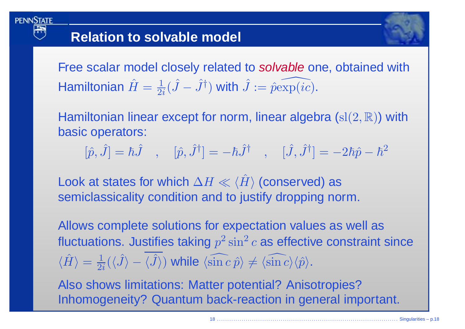**PENNSTATE** 

Free scalar model closely related to *solvable* one, obtained with Hamiltonian  $\hat{H}=\frac{1}{2}$  $\frac{1}{2i}(\hat{J}-\hat{J}^{\dagger})$  with  $\hat{J} := \hat{p}\widehat{\exp (ic)}.$ 

Hamiltonian linear except for norm, linear algebra  $({\rm sl}(2,\mathbb{R}))$  with basic operators:

 $[\hat p,\hat J]=\hbar\hat J\quad,\quad [\hat p,\hat J^\dag]=$  $-\hbar \hat{J}^{\dagger}\quad ,\quad [\hat{J},\hat{J}^{\dagger}]=$  $-2\hbar \hat{p}$  $- \, \hbar^2$ 

Look at states for which  $\Delta H \ll \langle \hat{H} \rangle$  (conserved) as<br>esmiglessiselity condition and to justify drepping no semiclassicality condition and to justify dropping norm.

Allows complete solutions for expectation values as well asfluctuations. Justifies taking  $p^2\sin^2c$  as effective constraint  $\langle \hat{H} \rangle = \frac{1}{2i} (\langle \hat{J} \rangle - \langle \hat{J} \rangle)$  while  $\langle \widehat{\sin c} \, \hat{p} \rangle$  $^2\sin^2$  $^2$   $c$  as effective constraint since  $\,\,=\,\, 1$  $\frac{1}{2i}(\langle \hat{J}\rangle - \langle \hat{J}\rangle)$  while  $\langle \widehat{\sin c \, \hat{p}}\rangle \neq \langle \widehat{\sin c}\rangle \langle \hat{p}\rangle$ .

Also shows limitations: Matter potential? Anisotropies?Inhomogeneity? Quantum back-reaction in general important.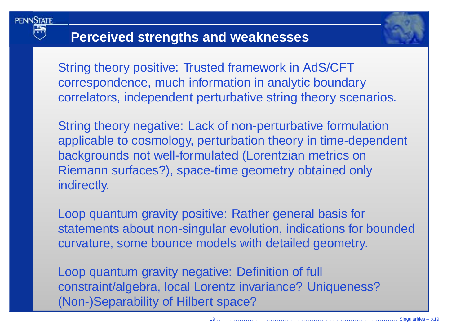

### **Perceived strengths and weaknesses**

String theory positive: Trusted framework in AdS/CFT correspondence, much information in analytic boundarycorrelators, independent perturbative string theory scenarios.

String theory negative: Lack of non-perturbative formulation applicable to cosmology, perturbation theory in time-dependent backgrounds not well-formulated (Lorentzian metrics on Riemann surfaces?), space-time geometry obtained onlyindirectly.

Loop quantum gravity positive: Rather general basis forstatements about non-singular evolution, indications for boundedcurvature, some bounce models with detailed geometry.

Loop quantum gravity negative: Definition of full constraint/algebra, local Lorentz invariance? Uniqueness?(Non-)Separability of Hilbert space?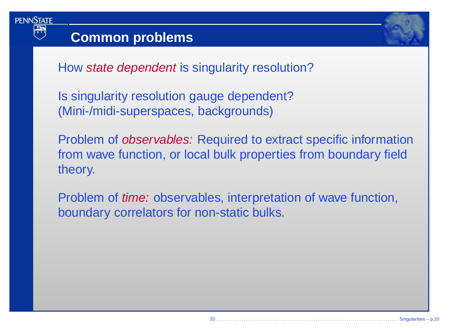

### **Common problems**

How *state dependent* is singularity resolution?

Is singularity resolution gauge dependent?(Mini-/midi-superspaces, backgrounds)

Problem of observables: Required to extract specific information from wave function, or local bulk properties from boundary fieldtheory.

Problem of *time:* observables, interpretation of wave function, boundary correlators for non-static bulks.